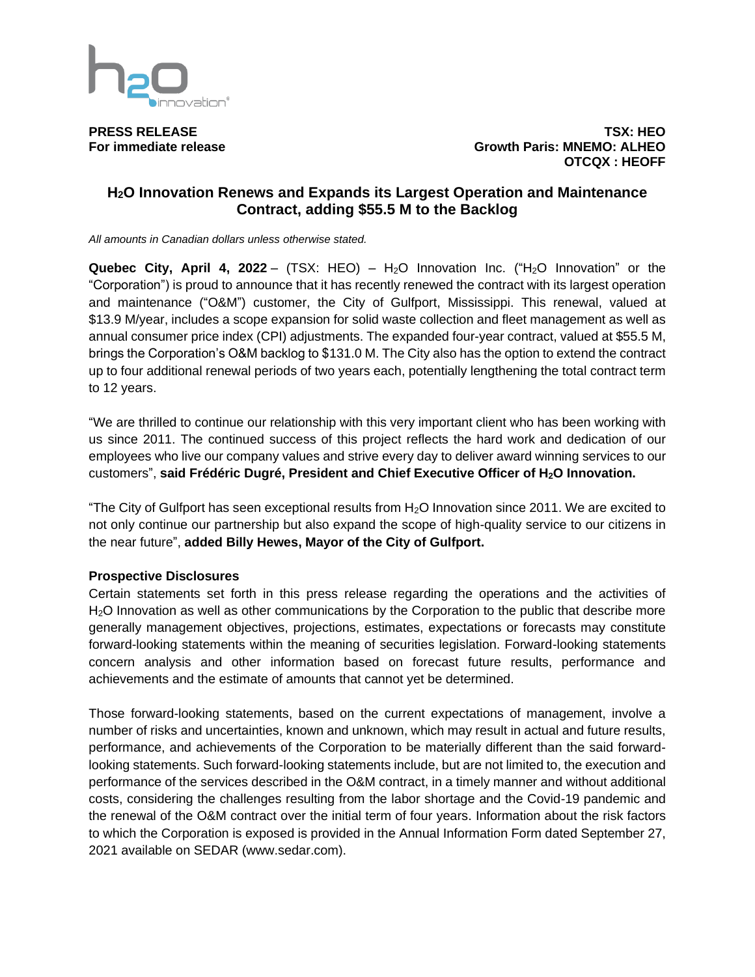

**PRESS RELEASE TSX: HEO For immediate release Growth Paris: MNEMO: ALHEO OTCQX : HEOFF**

# **H2O Innovation Renews and Expands its Largest Operation and Maintenance Contract, adding \$55.5 M to the Backlog**

*All amounts in Canadian dollars unless otherwise stated.*

**Quebec City, April 4, 2022** – (TSX: HEO) – H<sub>2</sub>O Innovation Inc. ("H<sub>2</sub>O Innovation" or the "Corporation") is proud to announce that it has recently renewed the contract with its largest operation and maintenance ("O&M") customer, the City of Gulfport, Mississippi. This renewal, valued at \$13.9 M/year, includes a scope expansion for solid waste collection and fleet management as well as annual consumer price index (CPI) adjustments. The expanded four-year contract, valued at \$55.5 M, brings the Corporation's O&M backlog to \$131.0 M. The City also has the option to extend the contract up to four additional renewal periods of two years each, potentially lengthening the total contract term to 12 years.

"We are thrilled to continue our relationship with this very important client who has been working with us since 2011. The continued success of this project reflects the hard work and dedication of our employees who live our company values and strive every day to deliver award winning services to our customers", **said Frédéric Dugré, President and Chief Executive Officer of H2O Innovation.**

"The City of Gulfport has seen exceptional results from  $H_2O$  Innovation since 2011. We are excited to not only continue our partnership but also expand the scope of high-quality service to our citizens in the near future", **added Billy Hewes, Mayor of the City of Gulfport.**

### **Prospective Disclosures**

Certain statements set forth in this press release regarding the operations and the activities of H<sub>2</sub>O Innovation as well as other communications by the Corporation to the public that describe more generally management objectives, projections, estimates, expectations or forecasts may constitute forward-looking statements within the meaning of securities legislation. Forward-looking statements concern analysis and other information based on forecast future results, performance and achievements and the estimate of amounts that cannot yet be determined.

Those forward-looking statements, based on the current expectations of management, involve a number of risks and uncertainties, known and unknown, which may result in actual and future results, performance, and achievements of the Corporation to be materially different than the said forwardlooking statements. Such forward-looking statements include, but are not limited to, the execution and performance of the services described in the O&M contract, in a timely manner and without additional costs, considering the challenges resulting from the labor shortage and the Covid-19 pandemic and the renewal of the O&M contract over the initial term of four years. Information about the risk factors to which the Corporation is exposed is provided in the Annual Information Form dated September 27, 2021 available on SEDAR (www.sedar.com).